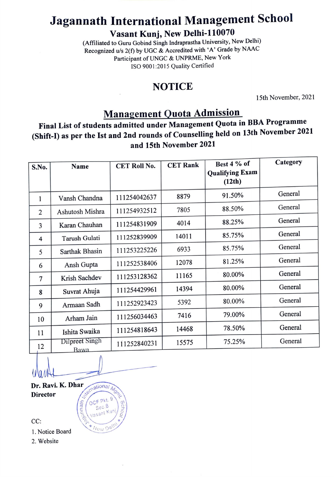# Jagannath International Management School

Vasant Kunj, New Delhi-110070

(Affiliated to Guru Gobind Singh Indraprastha University, New Delhi) Recognized u/s 2(f) by UGC & Accredited with 'A' Grade by NAAC Participant of UNGC & UNPRME, New York ISO 9001:2015 Quality Certified

#### NOTICE

15th November, 2021

## Management Quota Admission

Final List of students admitted under Management Quota in BBA Programme (Shift-) as per the Ist and 2nd rounds of Counselling held on 13th November 2021 and 15th November 2021

| S.No.          | Name            | <b>CET Roll No.</b> | <b>CET Rank</b> | Best 4 % of                      | Category |
|----------------|-----------------|---------------------|-----------------|----------------------------------|----------|
|                |                 |                     |                 | <b>Qualifying Exam</b><br>(12th) |          |
| 1              | Vansh Chandna   | 111254042637        | 8879            | 91.50%                           | General  |
| $\overline{2}$ | Ashutosh Mishra | 111254932512        | 7805            | 88.50%                           | General  |
| $\overline{3}$ | Karan Chauhan   | 111254831909        | 4014            | 88.25%                           | General  |
| $\overline{4}$ | Tarush Gulati   | 111252839909        | 14011           | 85.75%                           | General  |
| 5              | Sarthak Bhasin  | 111253225226        | 6933            | 85.75%                           | General  |
| 6              | Ansh Gupta      | 111252538406        | 12078           | 81.25%                           | General  |
| $\overline{7}$ | Krish Sachdev   | 111253128362        | 11165           | 80.00%                           | General  |
| 8              | Suvrat Ahuja    | 111254429961        | 14394           | 80.00%                           | General  |
| 9              | Armaan Sadh     | 111252923423        | 5392            | 80.00%                           | General  |
| 10             | Arham Jain      | 111256034463        | 7416            | 79.00%                           | General  |
| 11             | Ishita Swaika   | 111254818643        | 14468           | 78.50%                           | General  |
| 12             | Dilpreet Singh  | 111252840231        | 15575           | 75.25%                           | General  |
|                | <b>Bawa</b>     |                     |                 |                                  |          |

Dr. Ravi. K. Dhar **Director** 

thational

OCF Pkt Sec.B asant Kun

New De

mat

 $\text{CC:}$   $\left(\begin{array}{c} \circ \\ \circ \end{array}\right)$ 

1. Notice Board

2. Website